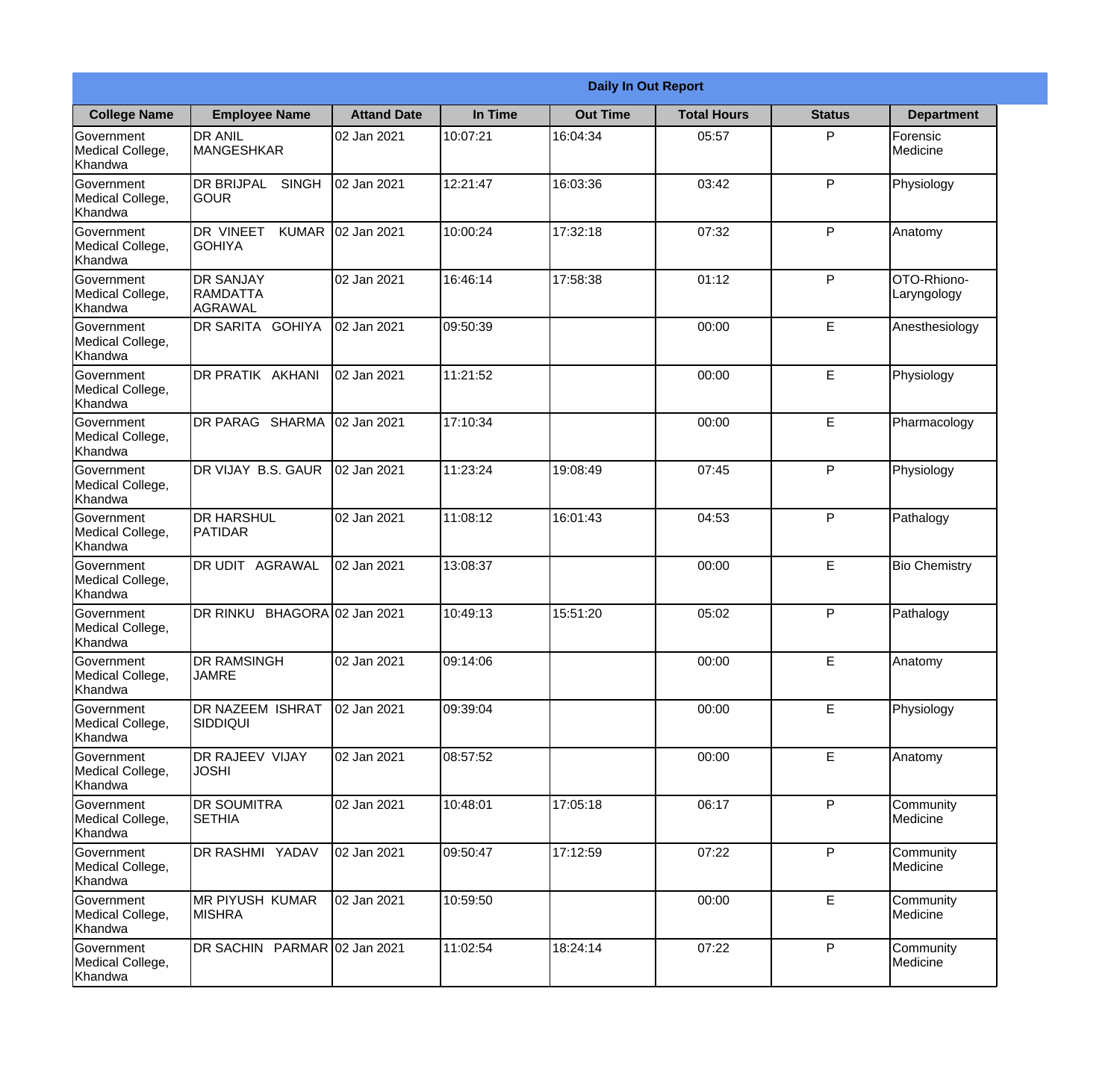|                                                  |                                                       |                     |          | <b>Daily In Out Report</b> |                    |               |                            |
|--------------------------------------------------|-------------------------------------------------------|---------------------|----------|----------------------------|--------------------|---------------|----------------------------|
| <b>College Name</b>                              | <b>Employee Name</b>                                  | <b>Attand Date</b>  | In Time  | <b>Out Time</b>            | <b>Total Hours</b> | <b>Status</b> | <b>Department</b>          |
| Government<br>Medical College,<br>Khandwa        | <b>DR ANIL</b><br><b>MANGESHKAR</b>                   | 02 Jan 2021         | 10:07:21 | 16:04:34                   | 05:57              | P             | Forensic<br>Medicine       |
| Government<br>Medical College,<br>Khandwa        | <b>DR BRIJPAL</b><br><b>SINGH</b><br> GOUR            | 02 Jan 2021         | 12:21:47 | 16:03:36                   | 03:42              | P             | Physiology                 |
| <b>Government</b><br>Medical College,<br>Khandwa | <b>DR VINEET</b><br><b>KUMAR</b><br><b>I</b> GOHIYA   | 02 Jan 2021         | 10:00:24 | 17:32:18                   | 07:32              | P             | Anatomy                    |
| Government<br>Medical College,<br>Khandwa        | <b>DR SANJAY</b><br><b>RAMDATTA</b><br><b>AGRAWAL</b> | 02 Jan 2021         | 16:46:14 | 17:58:38                   | 01:12              | P             | OTO-Rhiono-<br>Laryngology |
| Government<br>Medical College,<br>Khandwa        | <b>DR SARITA GOHIYA</b>                               | 02 Jan 2021         | 09:50:39 |                            | 00:00              | E             | Anesthesiology             |
| Government<br>Medical College,<br>Khandwa        | DR PRATIK AKHANI                                      | 02 Jan 2021         | 11:21:52 |                            | 00:00              | E             | Physiology                 |
| Government<br>Medical College,<br>Khandwa        | DR PARAG SHARMA                                       | 02 Jan 2021         | 17:10:34 |                            | 00:00              | E             | Pharmacology               |
| Government<br>Medical College,<br>Khandwa        | DR VIJAY B.S. GAUR                                    | 02 Jan 2021         | 11:23:24 | 19:08:49                   | 07:45              | P             | Physiology                 |
| Government<br>Medical College,<br>Khandwa        | <b>DR HARSHUL</b><br>PATIDAR                          | 02 Jan 2021         | 11:08:12 | 16:01:43                   | 04:53              | P             | Pathalogy                  |
| Government<br>Medical College,<br>Khandwa        | DR UDIT<br><b>AGRAWAL</b>                             | 02 Jan 2021         | 13:08:37 |                            | 00:00              | E             | <b>Bio Chemistry</b>       |
| Government<br>Medical College,<br>Khandwa        | <b>DR RINKU</b>                                       | BHAGORA 02 Jan 2021 | 10:49:13 | 15:51:20                   | 05:02              | $\mathsf{P}$  | Pathalogy                  |
| Government<br>Medical College,<br>Khandwa        | <b>DR RAMSINGH</b><br><b>JAMRE</b>                    | 02 Jan 2021         | 09:14:06 |                            | 00:00              | E             | Anatomy                    |
| Government<br>Medical College,<br>Khandwa        | <b>DR NAZEEM ISHRAT</b><br>SIDDIQUI                   | 02 Jan 2021         | 09:39:04 |                            | 00:00              | E             | Physiology                 |
| Government<br>Medical College,<br>Khandwa        | <b>DR RAJEEV VIJAY</b><br><b>JOSHI</b>                | 02 Jan 2021         | 08:57:52 |                            | 00:00              | E             | Anatomy                    |
| Government<br>Medical College,<br>Khandwa        | <b>DR SOUMITRA</b><br><b>SETHIA</b>                   | 02 Jan 2021         | 10:48:01 | 17:05:18                   | 06:17              | $\mathsf{P}$  | Community<br>Medicine      |
| Government<br>Medical College,<br>Khandwa        | DR RASHMI YADAV                                       | 02 Jan 2021         | 09:50:47 | 17:12:59                   | 07:22              | P             | Community<br>Medicine      |
| Government<br>Medical College,<br>Khandwa        | <b>MR PIYUSH KUMAR</b><br><b>MISHRA</b>               | 02 Jan 2021         | 10:59:50 |                            | 00:00              | E             | Community<br>Medicine      |
| Government<br>Medical College,<br>Khandwa        | DR SACHIN PARMAR 02 Jan 2021                          |                     | 11:02:54 | 18:24:14                   | 07:22              | P             | Community<br>Medicine      |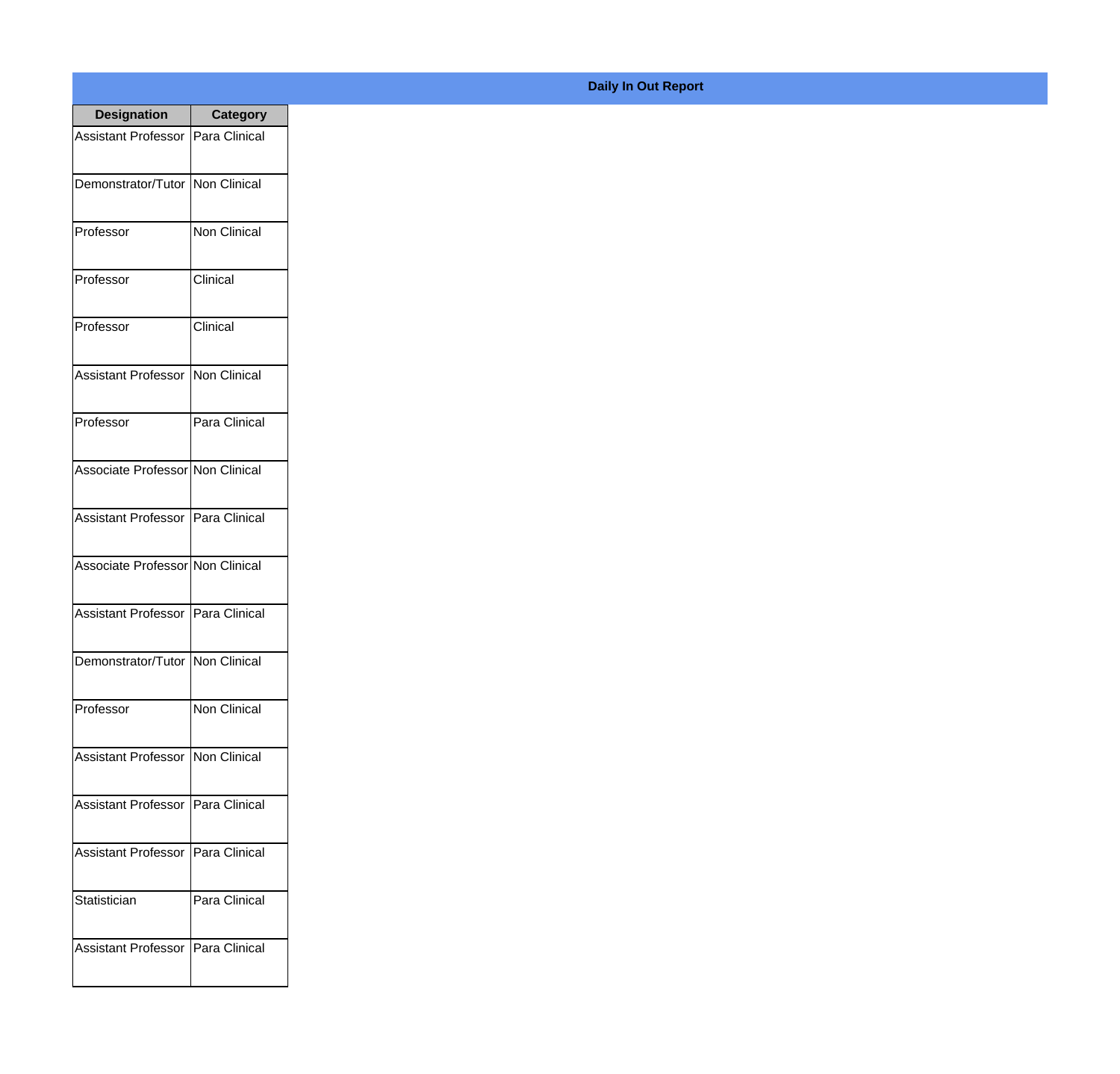| <b>Designation</b>                  | <b>Category</b>     |
|-------------------------------------|---------------------|
| Assistant Professor   Para Clinical |                     |
| Demonstrator/Tutor                  | Non Clinical        |
| Professor                           | <b>Non Clinical</b> |
| Professor                           | Clinical            |
| Professor                           | Clinical            |
| <b>Assistant Professor</b>          | Non Clinical        |
| Professor                           | Para Clinical       |
| Associate Professor Non Clinical    |                     |
| Assistant Professor   Para Clinical |                     |
| Associate Professor Non Clinical    |                     |
| <b>Assistant Professor</b>          | Para Clinical       |
| Demonstrator/Tutor   Non Clinical   |                     |
| Professor                           | <b>Non Clinical</b> |
| Assistant Professor                 | Non Clinical        |
| <b>Assistant Professor</b>          | Para Clinical       |
| <b>Assistant Professor</b>          | Para Clinical       |
| Statistician                        | Para Clinical       |
| <b>Assistant Professor</b>          | Para Clinical       |

## **Daily In Out Report**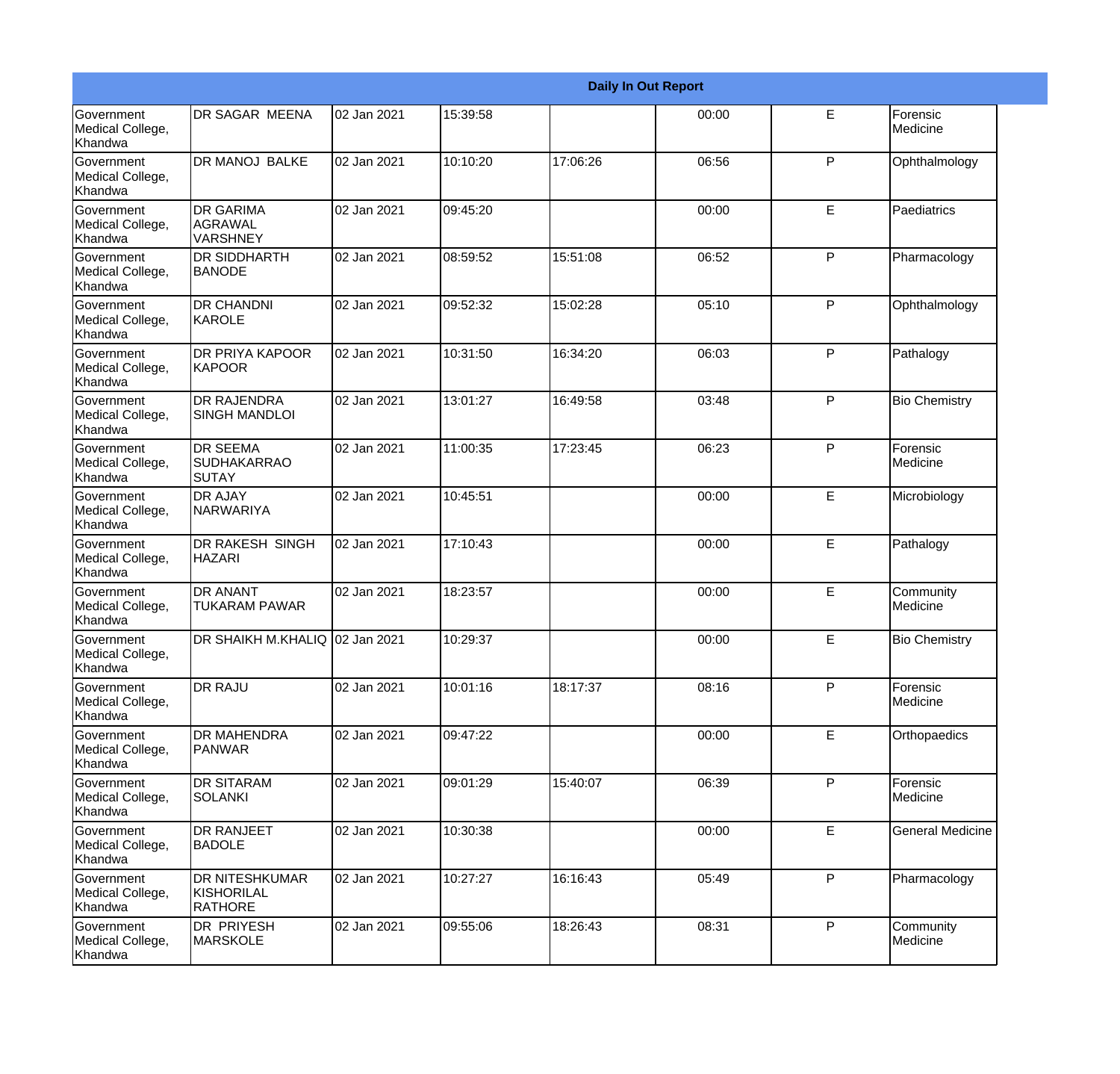|                                           |                                                       |             |          |          | <b>Daily In Out Report</b> |   |                         |
|-------------------------------------------|-------------------------------------------------------|-------------|----------|----------|----------------------------|---|-------------------------|
| Government<br>Medical College,<br>Khandwa | DR SAGAR MEENA                                        | 02 Jan 2021 | 15:39:58 |          | 00:00                      | E | Forensic<br>Medicine    |
| Government<br>Medical College,<br>Khandwa | <b>DR MANOJ BALKE</b>                                 | 02 Jan 2021 | 10:10:20 | 17:06:26 | 06:56                      | P | Ophthalmology           |
| Government<br>Medical College,<br>Khandwa | <b>DR GARIMA</b><br>AGRAWAL<br>VARSHNEY               | 02 Jan 2021 | 09:45:20 |          | 00:00                      | E | Paediatrics             |
| Government<br>Medical College,<br>Khandwa | <b>DR SIDDHARTH</b><br><b>BANODE</b>                  | 02 Jan 2021 | 08:59:52 | 15:51:08 | 06:52                      | P | Pharmacology            |
| Government<br>Medical College,<br>Khandwa | <b>DR CHANDNI</b><br>KAROLE                           | 02 Jan 2021 | 09:52:32 | 15:02:28 | 05:10                      | P | Ophthalmology           |
| Government<br>Medical College,<br>Khandwa | <b>DR PRIYA KAPOOR</b><br><b>KAPOOR</b>               | 02 Jan 2021 | 10:31:50 | 16:34:20 | 06:03                      | P | Pathalogy               |
| Government<br>Medical College,<br>Khandwa | <b>IDR RAJENDRA</b><br><b>SINGH MANDLOI</b>           | 02 Jan 2021 | 13:01:27 | 16:49:58 | 03:48                      | P | <b>Bio Chemistry</b>    |
| Government<br>Medical College,<br>Khandwa | <b>DR SEEMA</b><br><b>SUDHAKARRAO</b><br><b>SUTAY</b> | 02 Jan 2021 | 11:00:35 | 17:23:45 | 06:23                      | P | Forensic<br>Medicine    |
| Government<br>Medical College,<br>Khandwa | <b>DR AJAY</b><br><b>NARWARIYA</b>                    | 02 Jan 2021 | 10:45:51 |          | 00:00                      | E | Microbiology            |
| Government<br>Medical College,<br>Khandwa | DR RAKESH SINGH<br><b>HAZARI</b>                      | 02 Jan 2021 | 17:10:43 |          | 00:00                      | E | Pathalogy               |
| Government<br>Medical College,<br>Khandwa | <b>DR ANANT</b><br><b>TUKARAM PAWAR</b>               | 02 Jan 2021 | 18:23:57 |          | 00:00                      | E | Community<br>Medicine   |
| Government<br>Medical College,<br>Khandwa | DR SHAIKH M.KHALIQ 02 Jan 2021                        |             | 10:29:37 |          | 00:00                      | E | <b>Bio Chemistry</b>    |
| Government<br>Medical College,<br>Khandwa | <b>DR RAJU</b>                                        | 02 Jan 2021 | 10:01:16 | 18:17:37 | 08:16                      | P | Forensic<br>Medicine    |
| Government<br>Medical College,<br>Khandwa | <b>DR MAHENDRA</b><br><b>PANWAR</b>                   | 02 Jan 2021 | 09:47:22 |          | 00:00                      | E | Orthopaedics            |
| Government<br>Medical College,<br>Khandwa | <b>DR SITARAM</b><br><b>SOLANKI</b>                   | 02 Jan 2021 | 09:01:29 | 15:40:07 | 06:39                      | P | Forensic<br>Medicine    |
| Government<br>Medical College,<br>Khandwa | <b>DR RANJEET</b><br><b>BADOLE</b>                    | 02 Jan 2021 | 10:30:38 |          | 00:00                      | E | <b>General Medicine</b> |
| Government<br>Medical College,<br>Khandwa | <b>DR NITESHKUMAR</b><br>KISHORILAL<br><b>RATHORE</b> | 02 Jan 2021 | 10:27:27 | 16:16:43 | 05:49                      | P | Pharmacology            |
| Government<br>Medical College,<br>Khandwa | DR PRIYESH<br><b>MARSKOLE</b>                         | 02 Jan 2021 | 09:55:06 | 18:26:43 | 08:31                      | P | Community<br>Medicine   |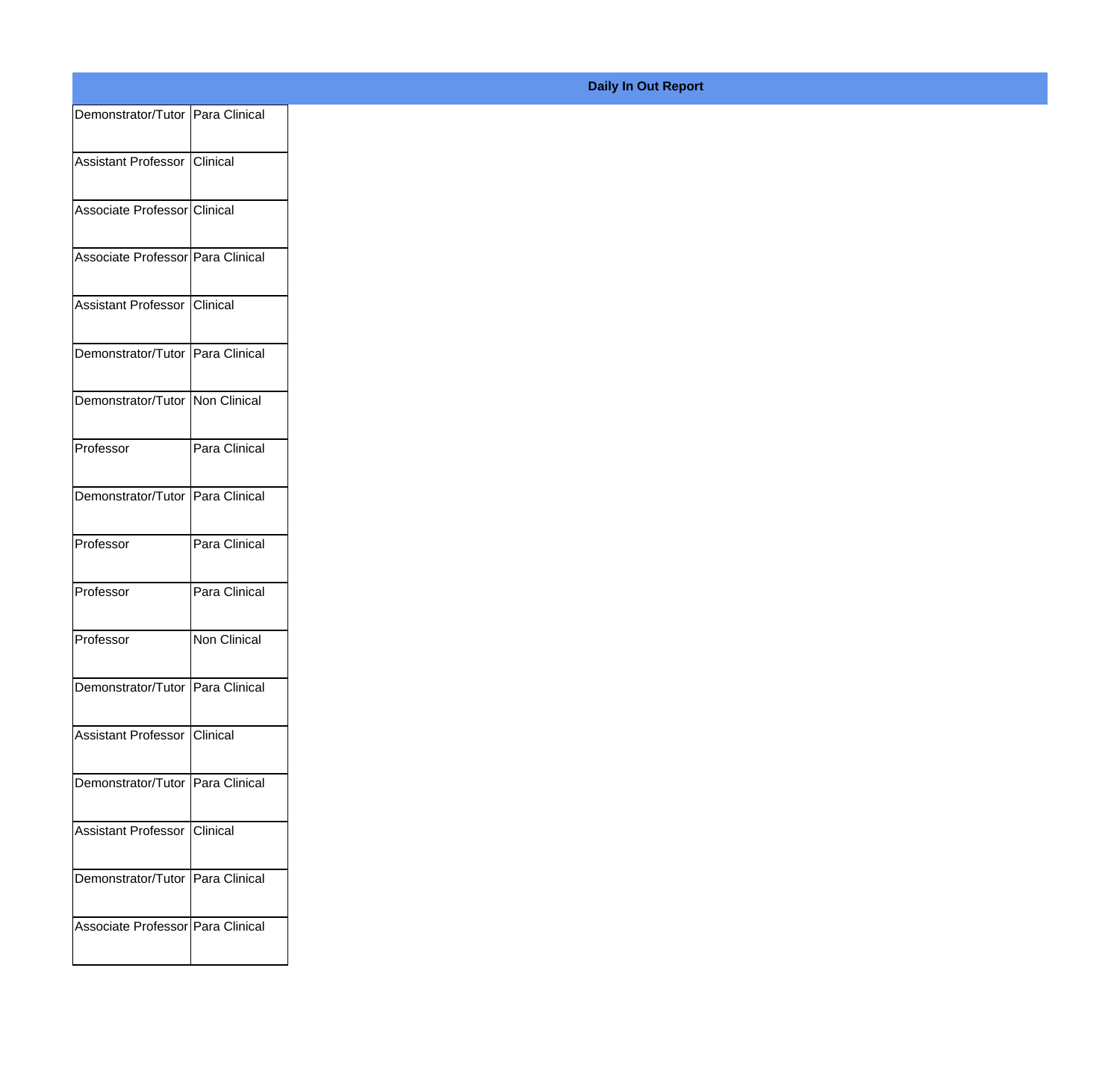| Demonstrator/Tutor Para Clinical   |               |
|------------------------------------|---------------|
|                                    |               |
| Assistant Professor Clinical       |               |
| Associate Professor Clinical       |               |
|                                    |               |
| Associate Professor Para Clinical  |               |
| Assistant Professor Clinical       |               |
|                                    |               |
| Demonstrator/Tutor Para Clinical   |               |
| Demonstrator/Tutor   Non Clinical  |               |
|                                    |               |
| Professor                          | Para Clinical |
| Demonstrator/Tutor Para Clinical   |               |
|                                    |               |
| Professor                          | Para Clinical |
| Professor                          | Para Clinical |
|                                    |               |
| Professor                          | Non Clinical  |
| Demonstrator/Tutor   Para Clinical |               |
|                                    |               |
| Assistant Professor Clinical       |               |
|                                    |               |
| Demonstrator/Tutor Para Clinical   |               |
| Assistant Professor Clinical       |               |
|                                    |               |
| Demonstrator/Tutor Para Clinical   |               |
| Associate Professor Para Clinical  |               |
|                                    |               |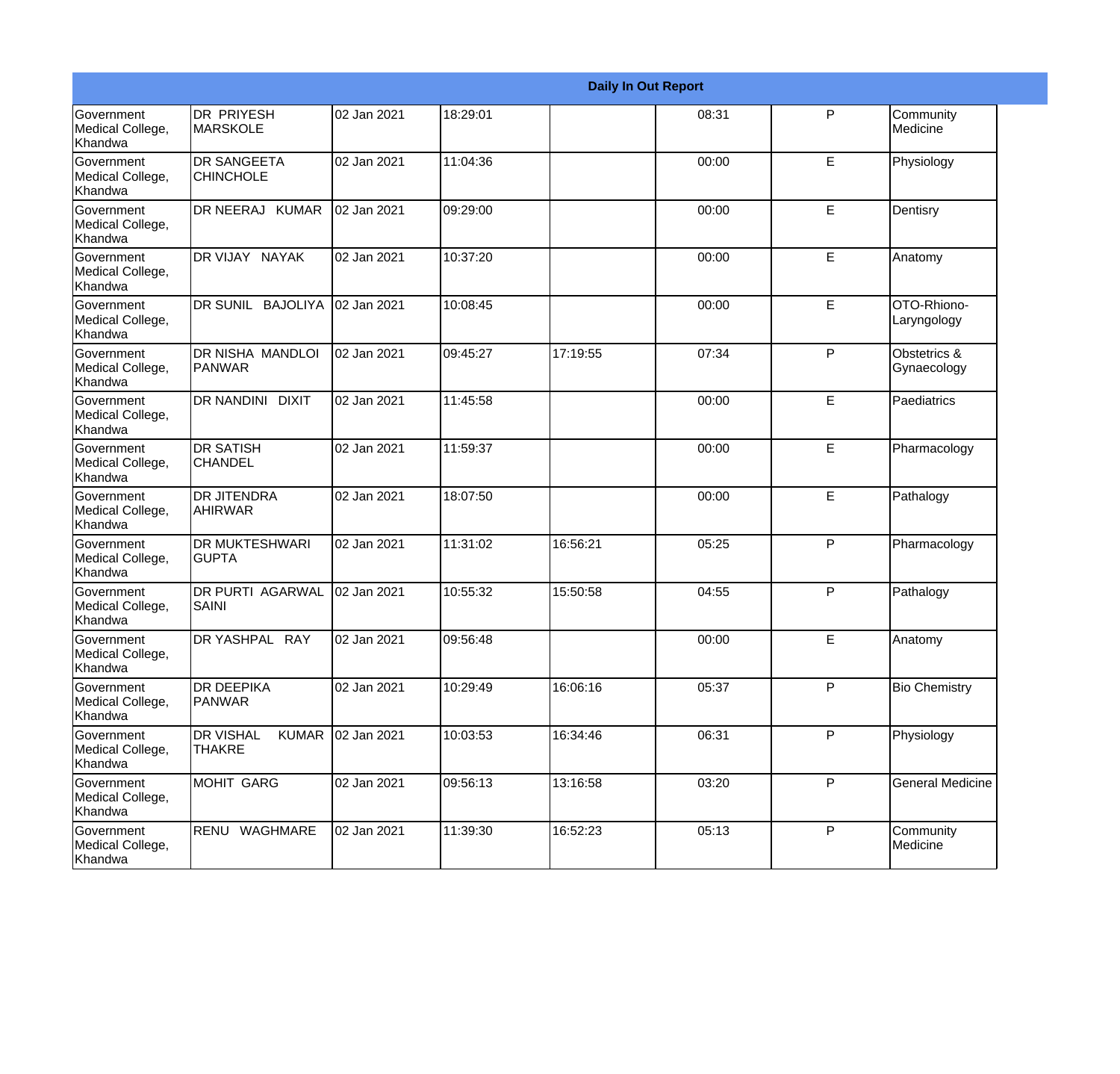|                                                  |                                                   |             |          |          | <b>Daily In Out Report</b> |   |                             |
|--------------------------------------------------|---------------------------------------------------|-------------|----------|----------|----------------------------|---|-----------------------------|
| Government<br>Medical College,<br>Khandwa        | <b>DR PRIYESH</b><br>MARSKOLE                     | 02 Jan 2021 | 18:29:01 |          | 08:31                      | P | Community<br>Medicine       |
| Government<br>Medical College,<br>Khandwa        | <b>DR SANGEETA</b><br><b>CHINCHOLE</b>            | 02 Jan 2021 | 11:04:36 |          | 00:00                      | E | Physiology                  |
| <b>Government</b><br>Medical College,<br>Khandwa | DR NEERAJ KUMAR                                   | 02 Jan 2021 | 09:29:00 |          | 00:00                      | E | Dentisry                    |
| <b>Government</b><br>Medical College,<br>Khandwa | DR VIJAY NAYAK                                    | 02 Jan 2021 | 10:37:20 |          | 00:00                      | E | Anatomy                     |
| Government<br>Medical College,<br>Khandwa        | <b>BAJOLIYA</b><br><b>DR SUNIL</b>                | 02 Jan 2021 | 10:08:45 |          | 00:00                      | E | OTO-Rhiono-<br>Laryngology  |
| Government<br>Medical College,<br><b>Khandwa</b> | DR NISHA MANDLOI<br>PANWAR                        | 02 Jan 2021 | 09:45:27 | 17:19:55 | 07:34                      | P | Obstetrics &<br>Gynaecology |
| Government<br>Medical College,<br>Khandwa        | DR NANDINI DIXIT                                  | 02 Jan 2021 | 11:45:58 |          | 00:00                      | E | Paediatrics                 |
| Government<br>Medical College,<br>Khandwa        | <b>DR SATISH</b><br><b>CHANDEL</b>                | 02 Jan 2021 | 11:59:37 |          | 00:00                      | E | Pharmacology                |
| Government<br>Medical College,<br>Khandwa        | <b>DR JITENDRA</b><br><b>AHIRWAR</b>              | 02 Jan 2021 | 18:07:50 |          | 00:00                      | E | Pathalogy                   |
| Government<br>Medical College,<br>Khandwa        | <b>DR MUKTESHWARI</b><br><b>GUPTA</b>             | 02 Jan 2021 | 11:31:02 | 16:56:21 | 05:25                      | P | Pharmacology                |
| Government<br>Medical College,<br>Khandwa        | <b>DR PURTI AGARWAL</b><br><b>SAINI</b>           | 02 Jan 2021 | 10:55:32 | 15:50:58 | 04:55                      | P | Pathalogy                   |
| Government<br>Medical College,<br>Khandwa        | <b>DR YASHPAL RAY</b>                             | 02 Jan 2021 | 09:56:48 |          | 00:00                      | E | Anatomy                     |
| Government<br>Medical College,<br>Khandwa        | <b>DR DEEPIKA</b><br>PANWAR                       | 02 Jan 2021 | 10:29:49 | 16:06:16 | 05:37                      | P | <b>Bio Chemistry</b>        |
| Government<br>Medical College,<br>Khandwa        | <b>DR VISHAL</b><br><b>KUMAR</b><br><b>THAKRE</b> | 02 Jan 2021 | 10:03:53 | 16:34:46 | 06:31                      | P | Physiology                  |
| Government<br>Medical College,<br>Khandwa        | MOHIT GARG                                        | 02 Jan 2021 | 09:56:13 | 13:16:58 | 03:20                      | P | <b>General Medicine</b>     |
| Government<br>Medical College,<br>Khandwa        | RENU WAGHMARE                                     | 02 Jan 2021 | 11:39:30 | 16:52:23 | 05:13                      | P | Community<br>Medicine       |